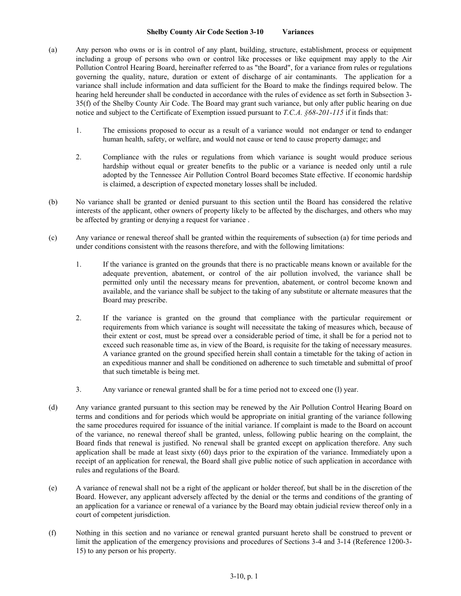## **Shelby County Air Code Section 3-10 Variances**

- (a) Any person who owns or is in control of any plant, building, structure, establishment, process or equipment including a group of persons who own or control like processes or like equipment may apply to the Air Pollution Control Hearing Board, hereinafter referred to as "the Board", for a variance from rules or regulations governing the quality, nature, duration or extent of discharge of air contaminants. The application for a variance shall include information and data sufficient for the Board to make the findings required below. The hearing held hereunder shall be conducted in accordance with the rules of evidence as set forth in Subsection 3- 35(f) of the Shelby County Air Code. The Board may grant such variance, but only after public hearing on due notice and subject to the Certificate of Exemption issued pursuant to *T.C.A. §68-201-115* if it finds that:
	- 1. The emissions proposed to occur as a result of a variance would not endanger or tend to endanger human health, safety, or welfare, and would not cause or tend to cause property damage; and
	- 2. Compliance with the rules or regulations from which variance is sought would produce serious hardship without equal or greater benefits to the public or a variance is needed only until a rule adopted by the Tennessee Air Pollution Control Board becomes State effective. If economic hardship is claimed, a description of expected monetary losses shall be included.
- (b) No variance shall be granted or denied pursuant to this section until the Board has considered the relative interests of the applicant, other owners of property likely to be affected by the discharges, and others who may be affected by granting or denying a request for variance .
- (c) Any variance or renewal thereof shall be granted within the requirements of subsection (a) for time periods and under conditions consistent with the reasons therefore, and with the following limitations:
	- 1. If the variance is granted on the grounds that there is no practicable means known or available for the adequate prevention, abatement, or control of the air pollution involved, the variance shall be permitted only until the necessary means for prevention, abatement, or control become known and available, and the variance shall be subject to the taking of any substitute or alternate measures that the Board may prescribe.
	- 2. If the variance is granted on the ground that compliance with the particular requirement or requirements from which variance is sought will necessitate the taking of measures which, because of their extent or cost, must be spread over a considerable period of time, it shall be for a period not to exceed such reasonable time as, in view of the Board, is requisite for the taking of necessary measures. A variance granted on the ground specified herein shall contain a timetable for the taking of action in an expeditious manner and shall be conditioned on adherence to such timetable and submittal of proof that such timetable is being met.
	- 3. Any variance or renewal granted shall be for a time period not to exceed one (l) year.
- (d) Any variance granted pursuant to this section may be renewed by the Air Pollution Control Hearing Board on terms and conditions and for periods which would be appropriate on initial granting of the variance following the same procedures required for issuance of the initial variance. If complaint is made to the Board on account of the variance, no renewal thereof shall be granted, unless, following public hearing on the complaint, the Board finds that renewal is justified. No renewal shall be granted except on application therefore. Any such application shall be made at least sixty (60) days prior to the expiration of the variance. Immediately upon a receipt of an application for renewal, the Board shall give public notice of such application in accordance with rules and regulations of the Board.
- (e) A variance of renewal shall not be a right of the applicant or holder thereof, but shall be in the discretion of the Board. However, any applicant adversely affected by the denial or the terms and conditions of the granting of an application for a variance or renewal of a variance by the Board may obtain judicial review thereof only in a court of competent jurisdiction.
- (f) Nothing in this section and no variance or renewal granted pursuant hereto shall be construed to prevent or limit the application of the emergency provisions and procedures of Sections 3-4 and 3-14 (Reference 1200-3- 15) to any person or his property.